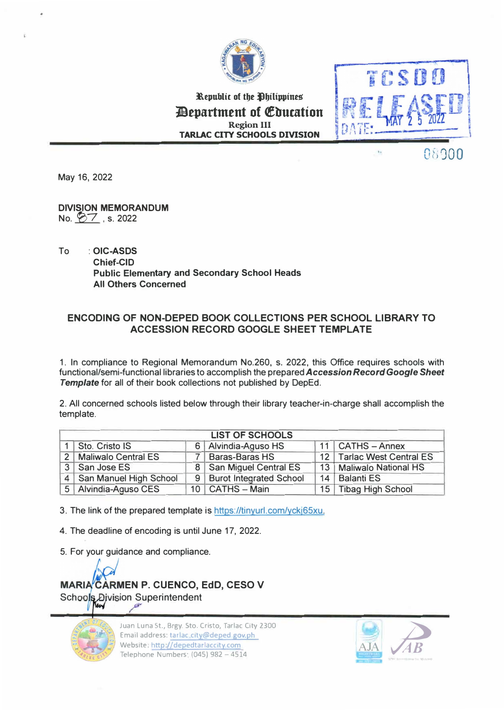

Republic of the **Ohilippines** *Pepartment of Education* **Region III TARLAC CITY SCHOOLS DIVISION** 



08000

May 16, 2022

DIVISION MEMORANDUM No.  $\cancel{87}$ , s. 2022

To : **OIC-ASDS Chief-CID Public Elementary and Secondary School Heads All Others Concerned** 

## **ENCODING OF NON-DEPED BOOK COLLECTIONS PER SCHOOL LIBRARY TO ACCESSION RECORD GOOGLE SHEET TEMPLATE**

1. In compliance to Regional Memorandum No.260, s. 2022, this Office requires schools with functional/semi-functional libraries to accomplish the prepared *Accession Record Google Sheet Template* for all of their book collections not published by DepEd.

2. All concerned schools listed below through their library teacher-in-charge shall accomplish the template.

| <b>LIST OF SCHOOLS</b> |                            |  |                           |  |                           |
|------------------------|----------------------------|--|---------------------------|--|---------------------------|
|                        | 1 Sto. Cristo IS           |  | 6 Alvindia-Aguso HS       |  | $11$ CATHS - Annex        |
|                        | 2   Maliwalo Central ES    |  | 7 Baras-Baras HS          |  | 12 Tarlac West Central ES |
|                        | 3 San Jose ES              |  | 8   San Miguel Central ES |  | 13   Maliwalo National HS |
|                        | 4   San Manuel High School |  | 9 Burot Integrated School |  | 14   Balanti ES           |
|                        | 5 Alvindia-Aguso CES       |  | 10   CATHS - Main         |  | 15 Tibag High School      |

3. The link of the prepared template is https://tinyurl.com/yckj65xu.

4. The deadline of encoding is until June 17, 2022.

5. For your guidance and compliance.

**MARIA CARMEN P. CUENCO, EdD, CESO V** Schools Division Superintendent



Juan Luna St., Brgy. Sto. Cristo, Tarlac City 2300 Email address: tarlac city@deped gov.ph Website. http://depedtarlaccity.com Telephone Numbers· (045) 982 - 4514